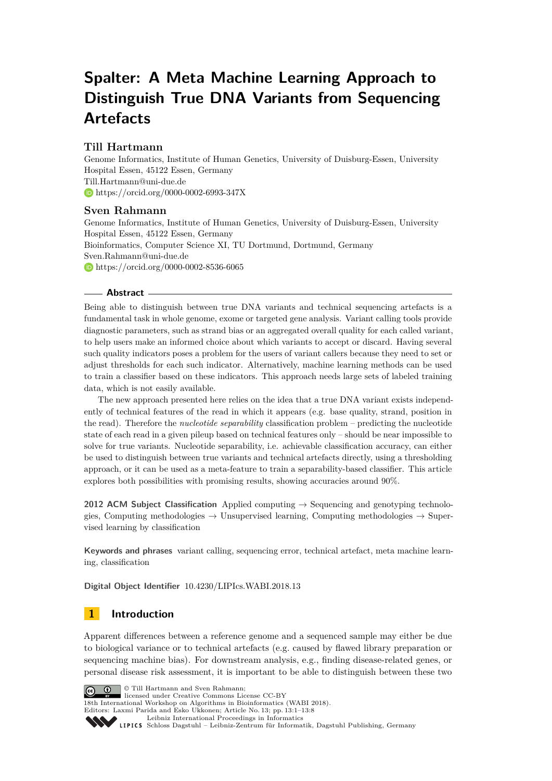# **Spalter: A Meta Machine Learning Approach to Distinguish True DNA Variants from Sequencing Artefacts**

## **Till Hartmann**

Genome Informatics, Institute of Human Genetics, University of Duisburg-Essen, University Hospital Essen, 45122 Essen, Germany [Till.Hartmann@uni-due.de](mailto:Till.Hartmann@uni-due.de) <https://orcid.org/0000-0002-6993-347X>

## **Sven Rahmann**

Genome Informatics, Institute of Human Genetics, University of Duisburg-Essen, University Hospital Essen, 45122 Essen, Germany Bioinformatics, Computer Science XI, TU Dortmund, Dortmund, Germany [Sven.Rahmann@uni-due.de](mailto:Sven.Rahmann@uni-due.de) <https://orcid.org/0000-0002-8536-6065>

#### **Abstract**

Being able to distinguish between true DNA variants and technical sequencing artefacts is a fundamental task in whole genome, exome or targeted gene analysis. Variant calling tools provide diagnostic parameters, such as strand bias or an aggregated overall quality for each called variant, to help users make an informed choice about which variants to accept or discard. Having several such quality indicators poses a problem for the users of variant callers because they need to set or adjust thresholds for each such indicator. Alternatively, machine learning methods can be used to train a classifier based on these indicators. This approach needs large sets of labeled training data, which is not easily available.

The new approach presented here relies on the idea that a true DNA variant exists independently of technical features of the read in which it appears (e.g. base quality, strand, position in the read). Therefore the *nucleotide separability* classification problem – predicting the nucleotide state of each read in a given pileup based on technical features only – should be near impossible to solve for true variants. Nucleotide separability, i.e. achievable classification accuracy, can either be used to distinguish between true variants and technical artefacts directly, using a thresholding approach, or it can be used as a meta-feature to train a separability-based classifier. This article explores both possibilities with promising results, showing accuracies around 90%.

**2012 ACM Subject Classification** Applied computing → Sequencing and genotyping technologies, Computing methodologies  $\rightarrow$  Unsupervised learning, Computing methodologies  $\rightarrow$  Supervised learning by classification

**Keywords and phrases** variant calling, sequencing error, technical artefact, meta machine learning, classification

**Digital Object Identifier** [10.4230/LIPIcs.WABI.2018.13](http://dx.doi.org/10.4230/LIPIcs.WABI.2018.13)

## **1 Introduction**

Apparent differences between a reference genome and a sequenced sample may either be due to biological variance or to technical artefacts (e.g. caused by flawed library preparation or sequencing machine bias). For downstream analysis, e.g., finding disease-related genes, or personal disease risk assessment, it is important to be able to distinguish between these two



[Leibniz International Proceedings in Informatics](http://www.dagstuhl.de/lipics/) Leibniz International Froceedings in Informatik, Dagstuhl Publishing, Germany<br>LIPICS [Schloss Dagstuhl – Leibniz-Zentrum für Informatik, Dagstuhl Publishing, Germany](http://www.dagstuhl.de)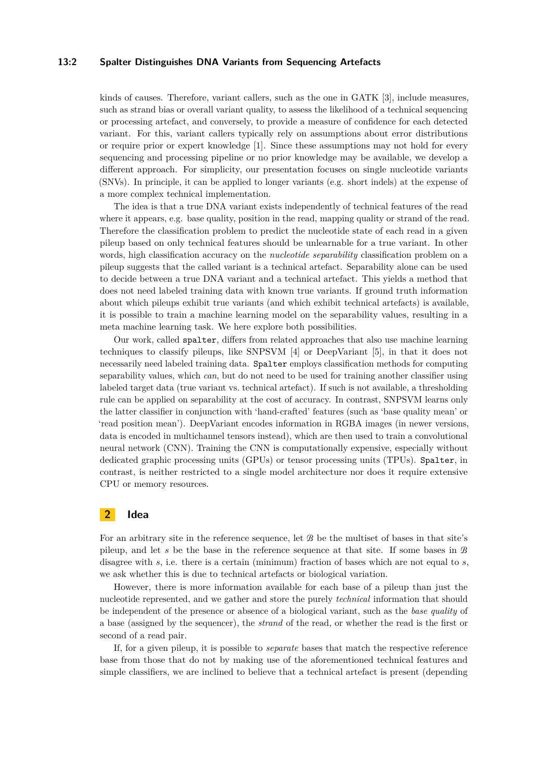#### **13:2 Spalter Distinguishes DNA Variants from Sequencing Artefacts**

kinds of causes. Therefore, variant callers, such as the one in GATK [\[3\]](#page-7-1), include measures, such as strand bias or overall variant quality, to assess the likelihood of a technical sequencing or processing artefact, and conversely, to provide a measure of confidence for each detected variant. For this, variant callers typically rely on assumptions about error distributions or require prior or expert knowledge [\[1\]](#page-7-2). Since these assumptions may not hold for every sequencing and processing pipeline or no prior knowledge may be available, we develop a different approach. For simplicity, our presentation focuses on single nucleotide variants (SNVs). In principle, it can be applied to longer variants (e.g. short indels) at the expense of a more complex technical implementation.

The idea is that a true DNA variant exists independently of technical features of the read where it appears, e.g. base quality, position in the read, mapping quality or strand of the read. Therefore the classification problem to predict the nucleotide state of each read in a given pileup based on only technical features should be unlearnable for a true variant. In other words, high classification accuracy on the *nucleotide separability* classification problem on a pileup suggests that the called variant is a technical artefact. Separability alone can be used to decide between a true DNA variant and a technical artefact. This yields a method that does not need labeled training data with known true variants. If ground truth information about which pileups exhibit true variants (and which exhibit technical artefacts) is available, it is possible to train a machine learning model on the separability values, resulting in a meta machine learning task. We here explore both possibilities.

Our work, called spalter, differs from related approaches that also use machine learning techniques to classify pileups, like SNPSVM [\[4\]](#page-7-3) or DeepVariant [\[5\]](#page-7-4), in that it does not necessarily need labeled training data. Spalter employs classification methods for computing separability values, which *can*, but do not need to be used for training another classifier using labeled target data (true variant vs. technical artefact). If such is not available, a thresholding rule can be applied on separability at the cost of accuracy. In contrast, SNPSVM learns only the latter classifier in conjunction with 'hand-crafted' features (such as 'base quality mean' or 'read position mean'). DeepVariant encodes information in RGBA images (in newer versions, data is encoded in multichannel tensors instead), which are then used to train a convolutional neural network (CNN). Training the CNN is computationally expensive, especially without dedicated graphic processing units (GPUs) or tensor processing units (TPUs). Spalter, in contrast, is neither restricted to a single model architecture nor does it require extensive CPU or memory resources.

## **2 Idea**

For an arbitrary site in the reference sequence, let  $B$  be the multiset of bases in that site's pileup, and let *s* be the base in the reference sequence at that site. If some bases in B disagree with *s*, i.e. there is a certain (minimum) fraction of bases which are not equal to *s*, we ask whether this is due to technical artefacts or biological variation.

However, there is more information available for each base of a pileup than just the nucleotide represented, and we gather and store the purely *technical* information that should be independent of the presence or absence of a biological variant, such as the *base quality* of a base (assigned by the sequencer), the *strand* of the read, or whether the read is the first or second of a read pair.

If, for a given pileup, it is possible to *separate* bases that match the respective reference base from those that do not by making use of the aforementioned technical features and simple classifiers, we are inclined to believe that a technical artefact is present (depending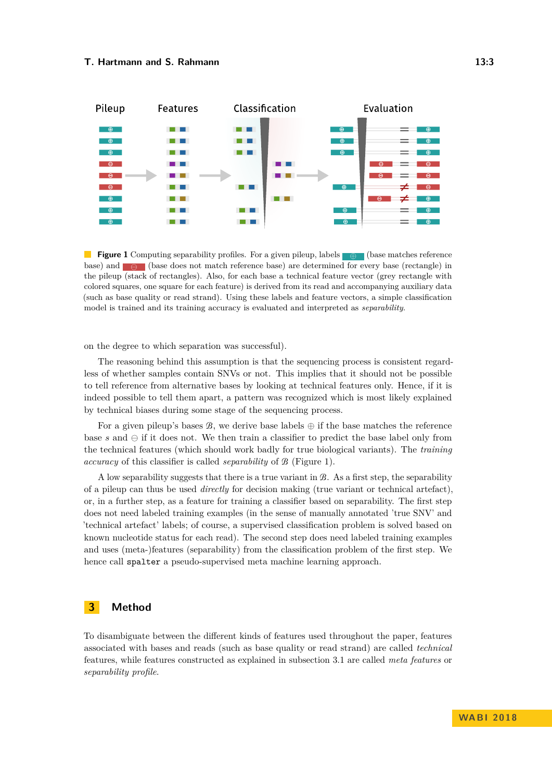<span id="page-2-0"></span>

**Figure 1** Computing separability profiles. For a given pileup, labels ⊕ (base matches reference base) and  $\Box$  (base does not match reference base) are determined for every base (rectangle) in the pileup (stack of rectangles). Also, for each base a technical feature vector (grey rectangle with colored squares, one square for each feature) is derived from its read and accompanying auxiliary data (such as base quality or read strand). Using these labels and feature vectors, a simple classification model is trained and its training accuracy is evaluated and interpreted as *separability*.

on the degree to which separation was successful).

The reasoning behind this assumption is that the sequencing process is consistent regardless of whether samples contain SNVs or not. This implies that it should not be possible to tell reference from alternative bases by looking at technical features only. Hence, if it is indeed possible to tell them apart, a pattern was recognized which is most likely explained by technical biases during some stage of the sequencing process.

For a given pileup's bases  $\mathcal{B}$ , we derive base labels  $\oplus$  if the base matches the reference base  $s$  and  $\ominus$  if it does not. We then train a classifier to predict the base label only from the technical features (which should work badly for true biological variants). The *training accuracy* of this classifier is called *separability* of B [\(Figure 1\)](#page-2-0).

A low separability suggests that there is a true variant in B. As a first step, the separability of a pileup can thus be used *directly* for decision making (true variant or technical artefact), or, in a further step, as a feature for training a classifier based on separability. The first step does not need labeled training examples (in the sense of manually annotated 'true SNV' and 'technical artefact' labels; of course, a supervised classification problem is solved based on known nucleotide status for each read). The second step does need labeled training examples and uses (meta-)features (separability) from the classification problem of the first step. We hence call spalter a pseudo-supervised meta machine learning approach.

## **3 Method**

To disambiguate between the different kinds of features used throughout the paper, features associated with bases and reads (such as base quality or read strand) are called *technical* features, while features constructed as explained in [subsection 3.1](#page-3-0) are called *meta features* or *separability profile*.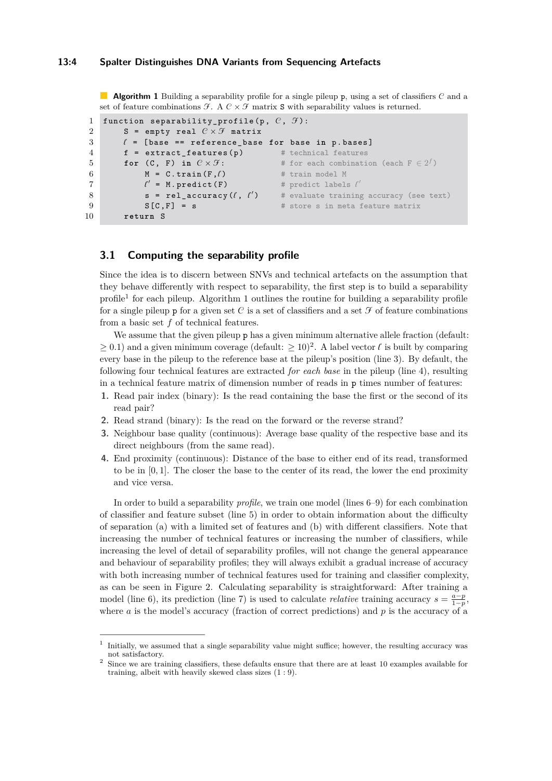<span id="page-3-2"></span>**Algorithm 1** Building a separability profile for a single pileup p, using a set of classifiers C and a set of feature combinations  $\mathcal{F}$ . A  $\mathcal{C} \times \mathcal{F}$  matrix **S** with separability values is returned.

```
1 function separability_profile (p, C, \mathcal{F}):
2 S = empty real C \times \mathcal{F} matrix
3 l = [ base == reference_base for base in p . bases ]
4 \t f = extract_features (p) # technical features
for (C, F) in C \times \mathcal{F}: # for each combination (each F \in 2^f)
6 M = C. train(F, l) # train model M
7 \theta\ell' = M. predict (F)= M. predict(F) # predict labels l'8 s = rel_accuracy (\ell, \ell'# evaluate training accuracy (see text)
9 S [C, F] = S # store s in meta feature matrix
10 return S
```
#### <span id="page-3-10"></span><span id="page-3-7"></span><span id="page-3-0"></span>**3.1 Computing the separability profile**

Since the idea is to discern between SNVs and technical artefacts on the assumption that they behave differently with respect to separability, the first step is to build a separability profile<sup>[1](#page-3-1)</sup> for each pileup. [Algorithm 1](#page-3-2) outlines the routine for building a separability profile for a single pileup p for a given set C is a set of classifiers and a set  $\mathcal F$  of feature combinations from a basic set *f* of technical features.

We assume that the given pileup p has a given minimum alternative allele fraction (default:  $\geq$  0.1) and a given minimum coverage (default:  $\geq$  10)<sup>[2](#page-3-3)</sup>. A label vector  $\ell$  is built by comparing every base in the pileup to the reference base at the pileup's position (line [3\)](#page-3-4). By default, the following four technical features are extracted *for each base* in the pileup (line [4\)](#page-3-5), resulting in a technical feature matrix of dimension number of reads in p times number of features:

- **1.** Read pair index (binary): Is the read containing the base the first or the second of its read pair?
- **2.** Read strand (binary): Is the read on the forward or the reverse strand?
- **3.** Neighbour base quality (continuous): Average base quality of the respective base and its direct neighbours (from the same read).
- **4.** End proximity (continuous): Distance of the base to either end of its read, transformed to be in [0*,* 1]. The closer the base to the center of its read, the lower the end proximity and vice versa.

In order to build a separability *profile*, we train one model (lines [6](#page-3-6)[–9\)](#page-3-7) for each combination of classifier and feature subset (line [5\)](#page-3-8) in order to obtain information about the difficulty of separation (a) with a limited set of features and (b) with different classifiers. Note that increasing the number of technical features or increasing the number of classifiers, while increasing the level of detail of separability profiles, will not change the general appearance and behaviour of separability profiles; they will always exhibit a gradual increase of accuracy with both increasing number of technical features used for training and classifier complexity, as can be seen in [Figure 2.](#page-4-0) Calculating separability is straightforward: After training a model (line [6\)](#page-3-6), its prediction (line [7\)](#page-3-9) is used to calculate *relative* training accuracy  $s = \frac{a-p}{1-p}$ , where *a* is the model's accuracy (fraction of correct predictions) and *p* is the accuracy of a

<span id="page-3-1"></span><sup>1</sup> Initially, we assumed that a single separability value might suffice; however, the resulting accuracy was not satisfactory.

<span id="page-3-3"></span><sup>&</sup>lt;sup>2</sup> Since we are training classifiers, these defaults ensure that there are at least 10 examples available for training, albeit with heavily skewed class sizes (1 : 9).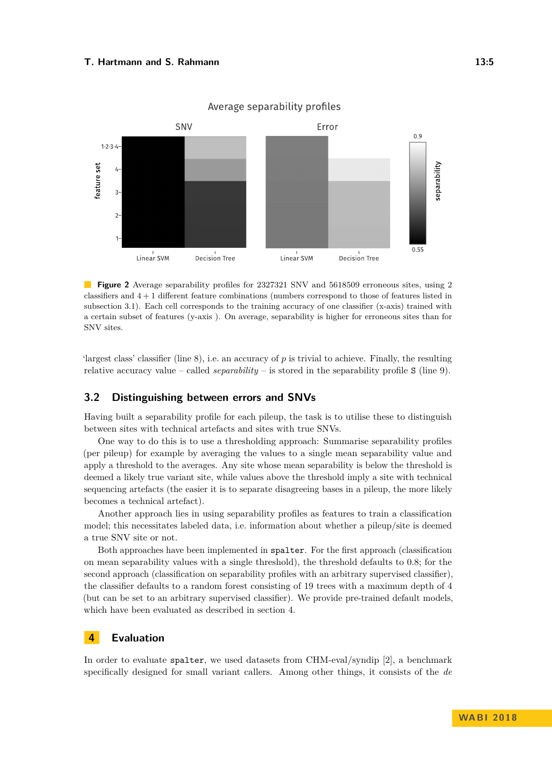#### <span id="page-4-0"></span>**T. Hartmann and S. Rahmann 13:5**



Average separability profiles

**Figure 2** Average separability profiles for 2327321 SNV and 5618509 erroneous sites, using 2 classifiers and 4 + 1 different feature combinations (numbers correspond to those of features listed in [subsection 3.1\)](#page-3-0). Each cell corresponds to the training accuracy of one classifier (x-axis) trained with a certain subset of features (y-axis ). On average, separability is higher for erroneous sites than for SNV sites.

'largest class' classifier (line [8\)](#page-3-10), i.e. an accuracy of  $p$  is trivial to achieve. Finally, the resulting relative accuracy value – called *separability* – is stored in the separability profile S (line [9\)](#page-3-7).

### **3.2 Distinguishing between errors and SNVs**

Having built a separability profile for each pileup, the task is to utilise these to distinguish between sites with technical artefacts and sites with true SNVs.

One way to do this is to use a thresholding approach: Summarise separability profiles (per pileup) for example by averaging the values to a single mean separability value and apply a threshold to the averages. Any site whose mean separability is below the threshold is deemed a likely true variant site, while values above the threshold imply a site with technical sequencing artefacts (the easier it is to separate disagreeing bases in a pileup, the more likely becomes a technical artefact).

Another approach lies in using separability profiles as features to train a classification model; this necessitates labeled data, i.e. information about whether a pileup/site is deemed a true SNV site or not.

Both approaches have been implemented in spalter. For the first approach (classification on mean separability values with a single threshold), the threshold defaults to 0*.*8; for the second approach (classification on separability profiles with an arbitrary supervised classifier), the classifier defaults to a random forest consisting of 19 trees with a maximum depth of 4 (but can be set to an arbitrary supervised classifier). We provide pre-trained default models, which have been evaluated as described in [section 4.](#page-4-1)

## <span id="page-4-1"></span>**4 Evaluation**

In order to evaluate spalter, we used datasets from CHM-eval/syndip [\[2\]](#page-7-5), a benchmark specifically designed for small variant callers. Among other things, it consists of the *de*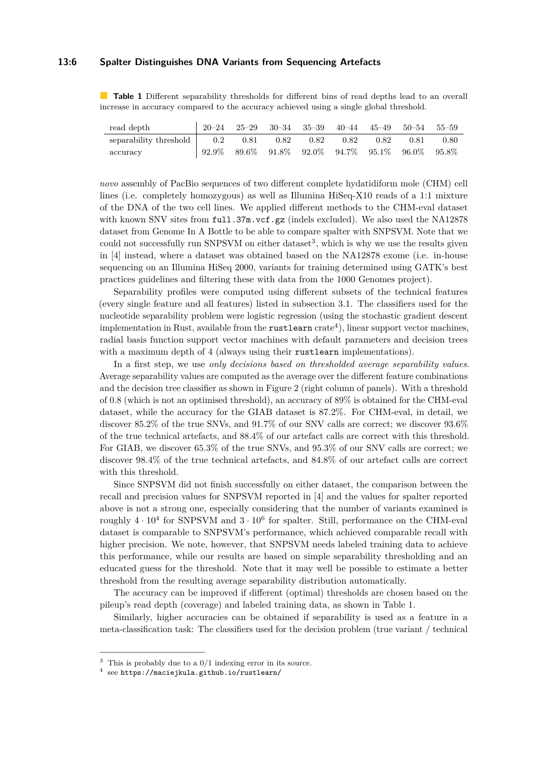#### **13:6 Spalter Distinguishes DNA Variants from Sequencing Artefacts**

<span id="page-5-2"></span>**Table 1** Different separability thresholds for different bins of read depths lead to an overall increase in accuracy compared to the accuracy achieved using a single global threshold.

| read depth                                                 | $120-24 \quad 25-29 \quad 30-34 \quad 35-39 \quad 40-44 \quad 45-49 \quad 50-54 \quad 55-59$                |  |  |  |      |
|------------------------------------------------------------|-------------------------------------------------------------------------------------------------------------|--|--|--|------|
| separability threshold   0.2 0.81 0.82 0.82 0.82 0.82 0.81 |                                                                                                             |  |  |  | 0.80 |
| accuracy                                                   | $\begin{array}{cccccc} & 92.9\% & 89.6\% & 91.8\% & 92.0\% & 94.7\% & 95.1\% & 96.0\% & 95.8\% \end{array}$ |  |  |  |      |

*novo* assembly of PacBio sequences of two different complete hydatidiform mole (CHM) cell lines (i.e. completely homozygous) as well as Illumina HiSeq-X10 reads of a 1:1 mixture of the DNA of the two cell lines. We applied different methods to the CHM-eval dataset with known SNV sites from full.37m.vcf.gz (indels excluded). We also used the NA12878 dataset from Genome In A Bottle to be able to compare spalter with SNPSVM. Note that we could not successfully run SNPSVM on either dataset<sup>[3](#page-5-0)</sup>, which is why we use the results given in [\[4\]](#page-7-3) instead, where a dataset was obtained based on the NA12878 exome (i.e. in-house sequencing on an Illumina HiSeq 2000, variants for training determined using GATK's best practices guidelines and filtering these with data from the 1000 Genomes project).

Separability profiles were computed using different subsets of the technical features (every single feature and all features) listed in [subsection 3.1.](#page-3-0) The classifiers used for the nucleotide separability problem were logistic regression (using the stochastic gradient descent implementation in Rust, available from the  $\texttt{rustlearn}~\text{crate}^4),$  $\texttt{rustlearn}~\text{crate}^4),$  $\texttt{rustlearn}~\text{crate}^4),$  linear support vector machines, radial basis function support vector machines with default parameters and decision trees with a maximum depth of 4 (always using their rustlearn implementations).

In a first step, we use *only decisions based on thresholded average separability values*. Average separability values are computed as the average over the different feature combinations and the decision tree classifier as shown in Figure [2](#page-4-0) (right column of panels). With a threshold of 0*.*8 (which is not an optimised threshold), an accuracy of 89% is obtained for the CHM-eval dataset, while the accuracy for the GIAB dataset is 87.2%. For CHM-eval, in detail, we discover 85.2% of the true SNVs, and 91.7% of our SNV calls are correct; we discover 93.6% of the true technical artefacts, and 88.4% of our artefact calls are correct with this threshold. For GIAB, we discover 65.3% of the true SNVs, and 95.3% of our SNV calls are correct; we discover 98.4% of the true technical artefacts, and 84.8% of our artefact calls are correct with this threshold.

Since SNPSVM did not finish successfully on either dataset, the comparison between the recall and precision values for SNPSVM reported in [\[4\]](#page-7-3) and the values for spalter reported above is not a strong one, especially considering that the number of variants examined is roughly  $4 \cdot 10^4$  for SNPSVM and  $3 \cdot 10^6$  for spalter. Still, performance on the CHM-eval dataset is comparable to SNPSVM's performance, which achieved comparable recall with higher precision. We note, however, that SNPSVM needs labeled training data to achieve this performance, while our results are based on simple separability thresholding and an educated guess for the threshold. Note that it may well be possible to estimate a better threshold from the resulting average separability distribution automatically.

The accuracy can be improved if different (optimal) thresholds are chosen based on the pileup's read depth (coverage) and labeled training data, as shown in [Table 1.](#page-5-2)

Similarly, higher accuracies can be obtained if separability is used as a feature in a meta-classification task: The classifiers used for the decision problem (true variant / technical

<span id="page-5-0"></span> $3$  This is probably due to a  $0/1$  indexing error in its source.

<span id="page-5-1"></span><sup>4</sup> see <https://maciejkula.github.io/rustlearn/>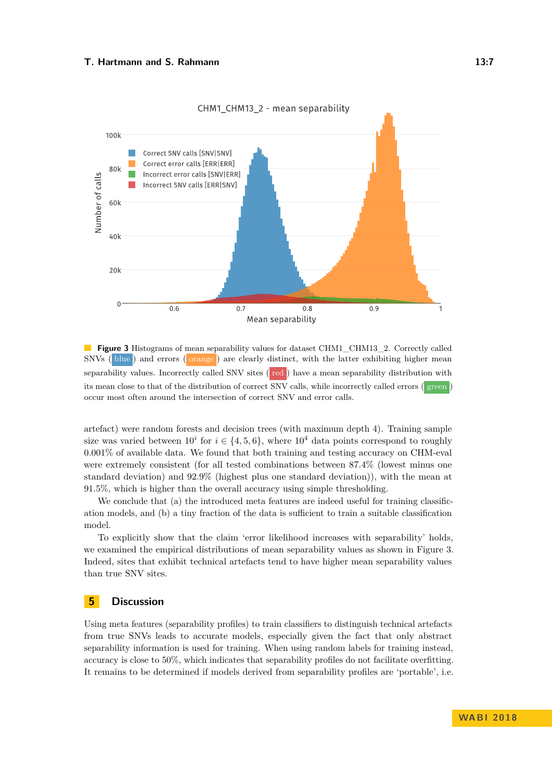#### **T. Hartmann and S. Rahmann 13:7**

<span id="page-6-0"></span>

**Figure 3** Histograms of mean separability values for dataset CHM1\_CHM13\_2. Correctly called SNVs ( blue ) and errors ( orange ) are clearly distinct, with the latter exhibiting higher mean separability values. Incorrectly called SNV sites ( red ) have a mean separability distribution with its mean close to that of the distribution of correct SNV calls, while incorrectly called errors ( green ) occur most often around the intersection of correct SNV and error calls.

artefact) were random forests and decision trees (with maximum depth 4). Training sample size was varied between  $10^i$  for  $i \in \{4, 5, 6\}$ , where  $10^4$  data points correspond to roughly 0*.*001% of available data. We found that both training and testing accuracy on CHM-eval were extremely consistent (for all tested combinations between 87*.*4% (lowest minus one standard deviation) and 92*.*9% (highest plus one standard deviation)), with the mean at 91*.*5%, which is higher than the overall accuracy using simple thresholding.

We conclude that (a) the introduced meta features are indeed useful for training classification models, and (b) a tiny fraction of the data is sufficient to train a suitable classification model.

To explicitly show that the claim 'error likelihood increases with separability' holds, we examined the empirical distributions of mean separability values as shown in [Figure 3.](#page-6-0) Indeed, sites that exhibit technical artefacts tend to have higher mean separability values than true SNV sites.

## **5 Discussion**

Using meta features (separability profiles) to train classifiers to distinguish technical artefacts from true SNVs leads to accurate models, especially given the fact that only abstract separability information is used for training. When using random labels for training instead, accuracy is close to 50%, which indicates that separability profiles do not facilitate overfitting. It remains to be determined if models derived from separability profiles are 'portable', i.e.